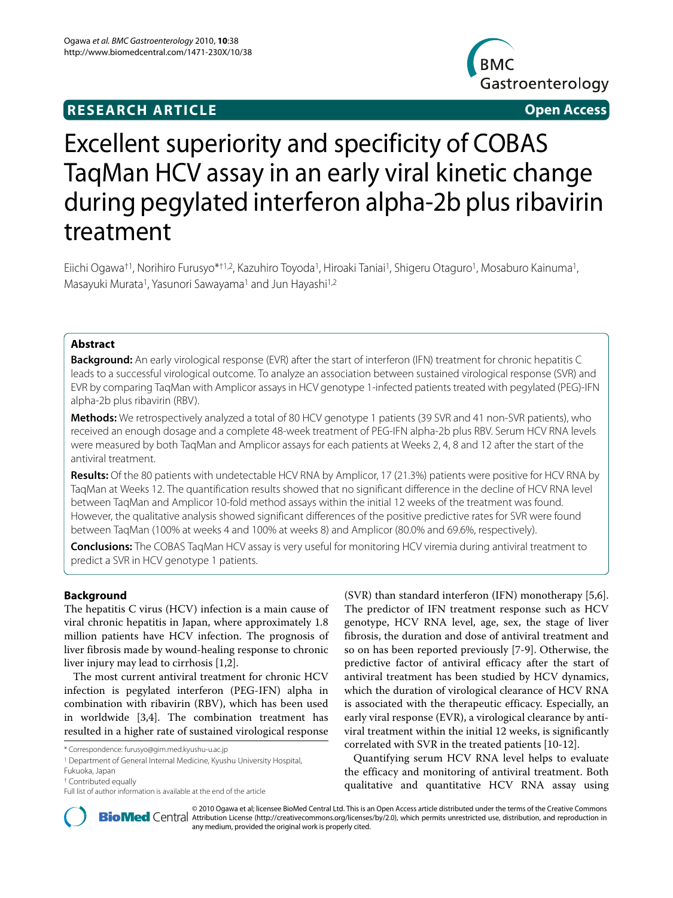# **RESEARCH ARTICLE Open Access**



# Excellent superiority and specificity of COBAS TaqMan HCV assay in an early viral kinetic change during pegylated interferon alpha-2b plus ribavirin treatment

Eiichi Ogawa†1, Norihiro Furusyo\*†1,2, Kazuhiro Toyoda1, Hiroaki Taniai1, Shigeru Otaguro1, Mosaburo Kainuma1, Masayuki Murata1, Yasunori Sawayama1 and Jun Hayashi1,2

# **Abstract**

**Background:** An early virological response (EVR) after the start of interferon (IFN) treatment for chronic hepatitis C leads to a successful virological outcome. To analyze an association between sustained virological response (SVR) and EVR by comparing TaqMan with Amplicor assays in HCV genotype 1-infected patients treated with pegylated (PEG)-IFN alpha-2b plus ribavirin (RBV).

**Methods:** We retrospectively analyzed a total of 80 HCV genotype 1 patients (39 SVR and 41 non-SVR patients), who received an enough dosage and a complete 48-week treatment of PEG-IFN alpha-2b plus RBV. Serum HCV RNA levels were measured by both TaqMan and Amplicor assays for each patients at Weeks 2, 4, 8 and 12 after the start of the antiviral treatment.

**Results:** Of the 80 patients with undetectable HCV RNA by Amplicor, 17 (21.3%) patients were positive for HCV RNA by TaqMan at Weeks 12. The quantification results showed that no significant difference in the decline of HCV RNA level between TaqMan and Amplicor 10-fold method assays within the initial 12 weeks of the treatment was found. However, the qualitative analysis showed significant differences of the positive predictive rates for SVR were found between TaqMan (100% at weeks 4 and 100% at weeks 8) and Amplicor (80.0% and 69.6%, respectively).

**Conclusions:** The COBAS TaqMan HCV assay is very useful for monitoring HCV viremia during antiviral treatment to predict a SVR in HCV genotype 1 patients.

## **Background**

The hepatitis C virus (HCV) infection is a main cause of viral chronic hepatitis in Japan, where approximately 1.8 million patients have HCV infection. The prognosis of liver fibrosis made by wound-healing response to chronic liver injury may lead to cirrhosis [[1,](#page-6-0)[2\]](#page-6-1).

The most current antiviral treatment for chronic HCV infection is pegylated interferon (PEG-IFN) alpha in combination with ribavirin (RBV), which has been used in worldwide [\[3](#page-6-2)[,4](#page-6-3)]. The combination treatment has resulted in a higher rate of sustained virological response

(SVR) than standard interferon (IFN) monotherapy [\[5](#page-7-0)[,6](#page-7-1)]. The predictor of IFN treatment response such as HCV genotype, HCV RNA level, age, sex, the stage of liver fibrosis, the duration and dose of antiviral treatment and so on has been reported previously [[7](#page-7-2)[-9](#page-7-3)]. Otherwise, the predictive factor of antiviral efficacy after the start of antiviral treatment has been studied by HCV dynamics, which the duration of virological clearance of HCV RNA is associated with the therapeutic efficacy. Especially, an early viral response (EVR), a virological clearance by antiviral treatment within the initial 12 weeks, is significantly correlated with SVR in the treated patients [\[10](#page-7-4)-[12\]](#page-7-5).

Quantifying serum HCV RNA level helps to evaluate the efficacy and monitoring of antiviral treatment. Both qualitative and quantitative HCV RNA assay using



2010 Ogawa et al; licensee [BioMed](http://www.biomedcentral.com/) Central Ltd. This is an Open Access article distributed under the terms of the Creative Commons (http://creativecommons.org/licenses/by/2.0), which permits unrestricted use, distribution, any medium, provided the original work is properly cited.

<sup>\*</sup> Correspondence: furusyo@gim.med.kyushu-u.ac.jp

<sup>&</sup>lt;sup>1</sup> Department of General Internal Medicine, Kyushu University Hospital,

Fukuoka, Japan

<sup>†</sup> Contributed equally

Full list of author information is available at the end of the article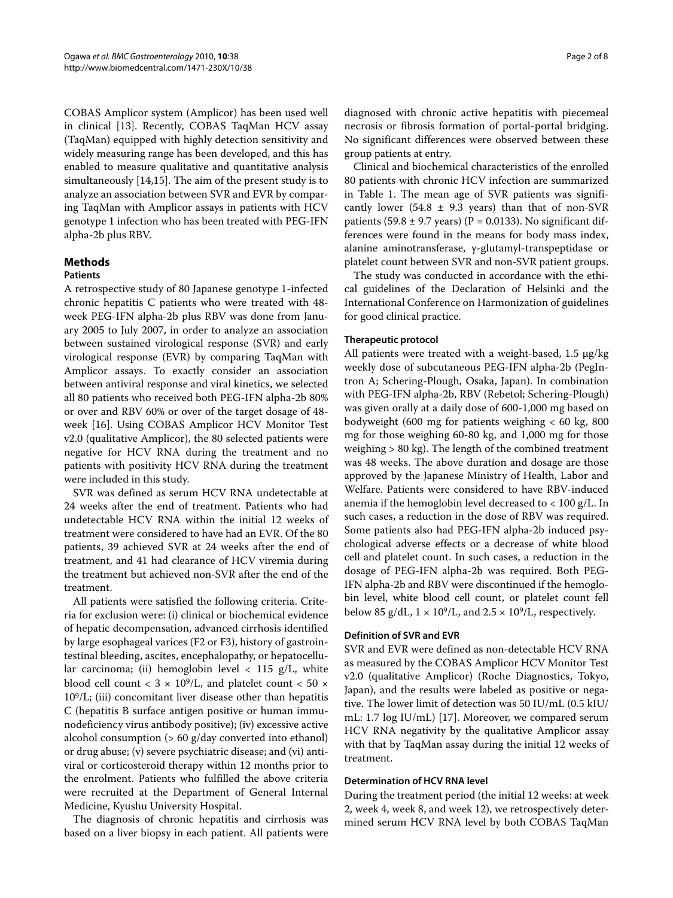COBAS Amplicor system (Amplicor) has been used well in clinical [\[13\]](#page-7-6). Recently, COBAS TaqMan HCV assay (TaqMan) equipped with highly detection sensitivity and widely measuring range has been developed, and this has enabled to measure qualitative and quantitative analysis simultaneously [[14,](#page-7-7)[15\]](#page-7-8). The aim of the present study is to analyze an association between SVR and EVR by comparing TaqMan with Amplicor assays in patients with HCV genotype 1 infection who has been treated with PEG-IFN alpha-2b plus RBV.

# **Methods**

# **Patients**

A retrospective study of 80 Japanese genotype 1-infected chronic hepatitis C patients who were treated with 48 week PEG-IFN alpha-2b plus RBV was done from January 2005 to July 2007, in order to analyze an association between sustained virological response (SVR) and early virological response (EVR) by comparing TaqMan with Amplicor assays. To exactly consider an association between antiviral response and viral kinetics, we selected all 80 patients who received both PEG-IFN alpha-2b 80% or over and RBV 60% or over of the target dosage of 48 week [\[16](#page-7-9)]. Using COBAS Amplicor HCV Monitor Test v2.0 (qualitative Amplicor), the 80 selected patients were negative for HCV RNA during the treatment and no patients with positivity HCV RNA during the treatment were included in this study.

SVR was defined as serum HCV RNA undetectable at 24 weeks after the end of treatment. Patients who had undetectable HCV RNA within the initial 12 weeks of treatment were considered to have had an EVR. Of the 80 patients, 39 achieved SVR at 24 weeks after the end of treatment, and 41 had clearance of HCV viremia during the treatment but achieved non-SVR after the end of the treatment.

All patients were satisfied the following criteria. Criteria for exclusion were: (i) clinical or biochemical evidence of hepatic decompensation, advanced cirrhosis identified by large esophageal varices (F2 or F3), history of gastrointestinal bleeding, ascites, encephalopathy, or hepatocellular carcinoma; (ii) hemoglobin level  $\langle 115 \text{ g/L}, \text{white} \rangle$ blood cell count <  $3 \times 10^9$ /L, and platelet count <  $50 \times$ 109/L; (iii) concomitant liver disease other than hepatitis C (hepatitis B surface antigen positive or human immunodeficiency virus antibody positive); (iv) excessive active alcohol consumption (> 60 g/day converted into ethanol) or drug abuse; (v) severe psychiatric disease; and (vi) antiviral or corticosteroid therapy within 12 months prior to the enrolment. Patients who fulfilled the above criteria were recruited at the Department of General Internal Medicine, Kyushu University Hospital.

The diagnosis of chronic hepatitis and cirrhosis was based on a liver biopsy in each patient. All patients were

diagnosed with chronic active hepatitis with piecemeal necrosis or fibrosis formation of portal-portal bridging. No significant differences were observed between these group patients at entry.

Clinical and biochemical characteristics of the enrolled 80 patients with chronic HCV infection are summarized in Table 1. The mean age of SVR patients was significantly lower (54.8  $\pm$  9.3 years) than that of non-SVR patients (59.8  $\pm$  9.7 years) (P = 0.0133). No significant differences were found in the means for body mass index, alanine aminotransferase, γ-glutamyl-transpeptidase or platelet count between SVR and non-SVR patient groups.

The study was conducted in accordance with the ethical guidelines of the Declaration of Helsinki and the International Conference on Harmonization of guidelines for good clinical practice.

### **Therapeutic protocol**

All patients were treated with a weight-based, 1.5 μg/kg weekly dose of subcutaneous PEG-IFN alpha-2b (PegIntron A; Schering-Plough, Osaka, Japan). In combination with PEG-IFN alpha-2b, RBV (Rebetol; Schering-Plough) was given orally at a daily dose of 600-1,000 mg based on bodyweight (600 mg for patients weighing  $< 60 \text{ kg}$ , 800 mg for those weighing 60-80 kg, and 1,000 mg for those weighing > 80 kg). The length of the combined treatment was 48 weeks. The above duration and dosage are those approved by the Japanese Ministry of Health, Labor and Welfare. Patients were considered to have RBV-induced anemia if the hemoglobin level decreased to < 100 g/L. In such cases, a reduction in the dose of RBV was required. Some patients also had PEG-IFN alpha-2b induced psychological adverse effects or a decrease of white blood cell and platelet count. In such cases, a reduction in the dosage of PEG-IFN alpha-2b was required. Both PEG-IFN alpha-2b and RBV were discontinued if the hemoglobin level, white blood cell count, or platelet count fell below 85 g/dL,  $1 \times 10^9$ /L, and  $2.5 \times 10^9$ /L, respectively.

### **Definition of SVR and EVR**

SVR and EVR were defined as non-detectable HCV RNA as measured by the COBAS Amplicor HCV Monitor Test v2.0 (qualitative Amplicor) (Roche Diagnostics, Tokyo, Japan), and the results were labeled as positive or negative. The lower limit of detection was 50 IU/mL (0.5 kIU/ mL: 1.7 log IU/mL) [\[17](#page-7-10)]. Moreover, we compared serum HCV RNA negativity by the qualitative Amplicor assay with that by TaqMan assay during the initial 12 weeks of treatment.

#### **Determination of HCV RNA level**

During the treatment period (the initial 12 weeks: at week 2, week 4, week 8, and week 12), we retrospectively determined serum HCV RNA level by both COBAS TaqMan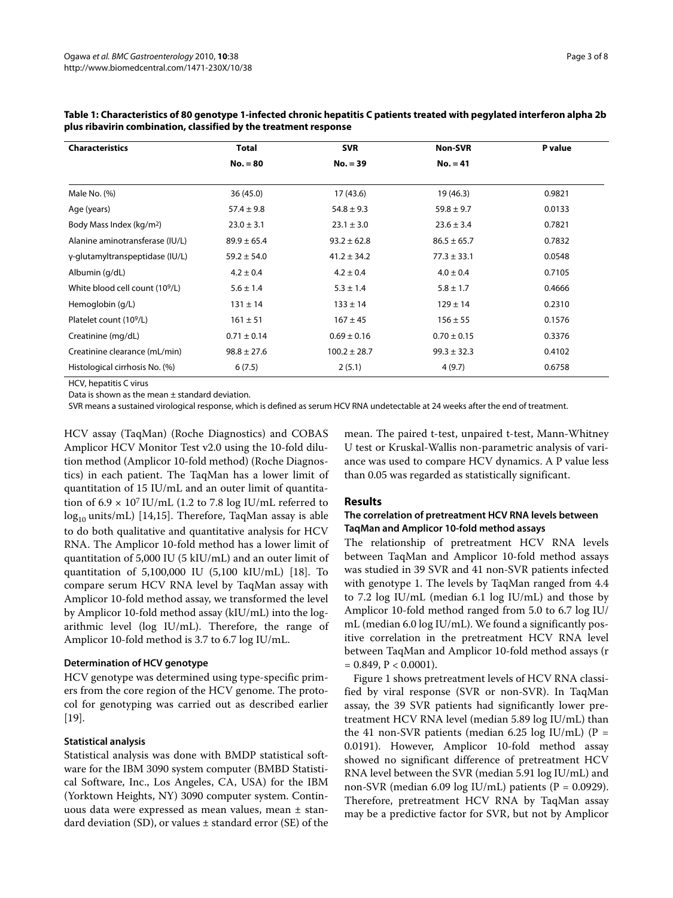| <b>Characteristics</b>               | <b>Total</b>    | <b>SVR</b>       | <b>Non-SVR</b>  | P value |
|--------------------------------------|-----------------|------------------|-----------------|---------|
|                                      | $No. = 80$      | $No. = 39$       | $No. = 41$      |         |
| Male No. (%)                         | 36(45.0)        | 17(43.6)         | 19 (46.3)       | 0.9821  |
| Age (years)                          | $57.4 \pm 9.8$  | $54.8 \pm 9.3$   | $59.8 \pm 9.7$  | 0.0133  |
| Body Mass Index (kg/m <sup>2</sup> ) | $23.0 \pm 3.1$  | $23.1 \pm 3.0$   | $23.6 \pm 3.4$  | 0.7821  |
| Alanine aminotransferase (IU/L)      | $89.9 \pm 65.4$ | $93.2 \pm 62.8$  | $86.5 \pm 65.7$ | 0.7832  |
| γ-glutamyltranspeptidase (IU/L)      | $59.2 \pm 54.0$ | $41.2 \pm 34.2$  | $77.3 \pm 33.1$ | 0.0548  |
| Albumin (g/dL)                       | $4.2 \pm 0.4$   | $4.2 \pm 0.4$    | $4.0 \pm 0.4$   | 0.7105  |
| White blood cell count (109/L)       | $5.6 \pm 1.4$   | $5.3 \pm 1.4$    | $5.8 \pm 1.7$   | 0.4666  |
| Hemoglobin (g/L)                     | $131 \pm 14$    | $133 \pm 14$     | $129 \pm 14$    | 0.2310  |
| Platelet count (10 <sup>9</sup> /L)  | $161 \pm 51$    | $167 \pm 45$     | $156 \pm 55$    | 0.1576  |
| Creatinine (mg/dL)                   | $0.71 \pm 0.14$ | $0.69 \pm 0.16$  | $0.70 \pm 0.15$ | 0.3376  |
| Creatinine clearance (mL/min)        | $98.8 \pm 27.6$ | $100.2 \pm 28.7$ | $99.3 \pm 32.3$ | 0.4102  |
| Histological cirrhosis No. (%)       | 6(7.5)          | 2(5.1)           | 4(9.7)          | 0.6758  |

**Table 1: Characteristics of 80 genotype 1-infected chronic hepatitis C patients treated with pegylated interferon alpha 2b plus ribavirin combination, classified by the treatment response**

HCV, hepatitis C virus

Data is shown as the mean  $\pm$  standard deviation.

SVR means a sustained virological response, which is defined as serum HCV RNA undetectable at 24 weeks after the end of treatment.

HCV assay (TaqMan) (Roche Diagnostics) and COBAS Amplicor HCV Monitor Test v2.0 using the 10-fold dilution method (Amplicor 10-fold method) (Roche Diagnostics) in each patient. The TaqMan has a lower limit of quantitation of 15 IU/mL and an outer limit of quantitation of  $6.9 \times 10^7$  IU/mL (1.2 to 7.8 log IU/mL referred to  $log_{10}$  units/mL) [[14,](#page-7-7)[15\]](#page-7-8). Therefore, TaqMan assay is able to do both qualitative and quantitative analysis for HCV RNA. The Amplicor 10-fold method has a lower limit of quantitation of 5,000 IU (5 kIU/mL) and an outer limit of quantitation of 5,100,000 IU (5,100 kIU/mL) [\[18](#page-7-11)]. To compare serum HCV RNA level by TaqMan assay with Amplicor 10-fold method assay, we transformed the level by Amplicor 10-fold method assay (kIU/mL) into the logarithmic level (log IU/mL). Therefore, the range of Amplicor 10-fold method is 3.7 to 6.7 log IU/mL.

#### **Determination of HCV genotype**

HCV genotype was determined using type-specific primers from the core region of the HCV genome. The protocol for genotyping was carried out as described earlier [[19\]](#page-7-12).

#### **Statistical analysis**

Statistical analysis was done with BMDP statistical software for the IBM 3090 system computer (BMBD Statistical Software, Inc., Los Angeles, CA, USA) for the IBM (Yorktown Heights, NY) 3090 computer system. Continuous data were expressed as mean values, mean ± standard deviation (SD), or values  $\pm$  standard error (SE) of the mean. The paired t-test, unpaired t-test, Mann-Whitney U test or Kruskal-Wallis non-parametric analysis of variance was used to compare HCV dynamics. A P value less than 0.05 was regarded as statistically significant.

#### **Results**

# **The correlation of pretreatment HCV RNA levels between TaqMan and Amplicor 10-fold method assays**

The relationship of pretreatment HCV RNA levels between TaqMan and Amplicor 10-fold method assays was studied in 39 SVR and 41 non-SVR patients infected with genotype 1. The levels by TaqMan ranged from 4.4 to 7.2 log IU/mL (median 6.1 log IU/mL) and those by Amplicor 10-fold method ranged from 5.0 to 6.7 log IU/ mL (median 6.0 log IU/mL). We found a significantly positive correlation in the pretreatment HCV RNA level between TaqMan and Amplicor 10-fold method assays (r  $= 0.849$ ,  $P < 0.0001$ ).

Figure [1](#page-3-0) shows pretreatment levels of HCV RNA classified by viral response (SVR or non-SVR). In TaqMan assay, the 39 SVR patients had significantly lower pretreatment HCV RNA level (median 5.89 log IU/mL) than the 41 non-SVR patients (median 6.25 log IU/mL) ( $P =$ 0.0191). However, Amplicor 10-fold method assay showed no significant difference of pretreatment HCV RNA level between the SVR (median 5.91 log IU/mL) and non-SVR (median 6.09 log IU/mL) patients ( $P = 0.0929$ ). Therefore, pretreatment HCV RNA by TaqMan assay may be a predictive factor for SVR, but not by Amplicor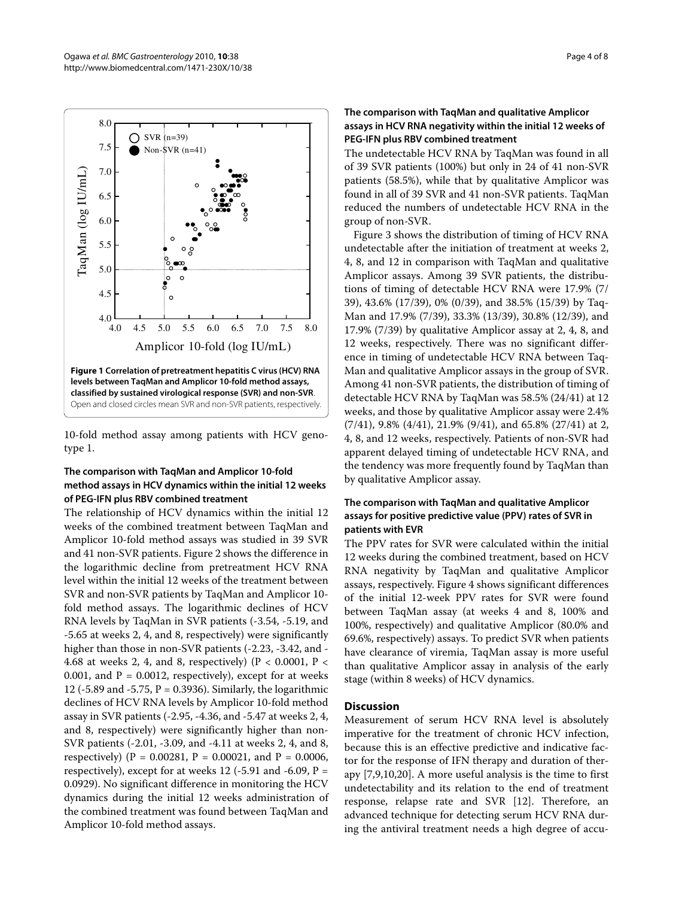4.5

5.0

<span id="page-3-0"></span>

၃ ്റ  $\circ$  $\circ$ 

**Figure 1 Correlation of pretreatment hepatitis C virus (HCV) RNA levels between TaqMan and Amplicor 10-fold method assays, classified by sustained virological response (SVR) and non-SVR**. Open and closed circles mean SVR and non-SVR patients, respectively.  $^{4.0}_{4.0}$ Amplicor 10-fold (log IU/mL) 4.0 4.5 5.0 5.5 6.0 6.5 7.0 7.5 8.0

10-fold method assay among patients with HCV genotype 1.

# **The comparison with TaqMan and Amplicor 10-fold method assays in HCV dynamics within the initial 12 weeks of PEG-IFN plus RBV combined treatment**

The relationship of HCV dynamics within the initial 12 weeks of the combined treatment between TaqMan and Amplicor 10-fold method assays was studied in 39 SVR and 41 non-SVR patients. Figure [2](#page-4-0) shows the difference in the logarithmic decline from pretreatment HCV RNA level within the initial 12 weeks of the treatment between SVR and non-SVR patients by TaqMan and Amplicor 10 fold method assays. The logarithmic declines of HCV RNA levels by TaqMan in SVR patients (-3.54, -5.19, and -5.65 at weeks 2, 4, and 8, respectively) were significantly higher than those in non-SVR patients (-2.23, -3.42, and - 4.68 at weeks 2, 4, and 8, respectively) (P < 0.0001, P < 0.001, and  $P = 0.0012$ , respectively), except for at weeks 12 (-5.89 and -5.75, P = 0.3936). Similarly, the logarithmic declines of HCV RNA levels by Amplicor 10-fold method assay in SVR patients (-2.95, -4.36, and -5.47 at weeks 2, 4, and 8, respectively) were significantly higher than non-SVR patients (-2.01, -3.09, and -4.11 at weeks 2, 4, and 8, respectively) ( $P = 0.00281$ ,  $P = 0.00021$ , and  $P = 0.0006$ , respectively), except for at weeks 12  $(-5.91$  and  $-6.09$ ,  $P =$ 0.0929). No significant difference in monitoring the HCV dynamics during the initial 12 weeks administration of the combined treatment was found between TaqMan and Amplicor 10-fold method assays.

# **The comparison with TaqMan and qualitative Amplicor assays in HCV RNA negativity within the initial 12 weeks of PEG-IFN plus RBV combined treatment**

The undetectable HCV RNA by TaqMan was found in all of 39 SVR patients (100%) but only in 24 of 41 non-SVR patients (58.5%), while that by qualitative Amplicor was found in all of 39 SVR and 41 non-SVR patients. TaqMan reduced the numbers of undetectable HCV RNA in the group of non-SVR.

Figure [3](#page-5-0) shows the distribution of timing of HCV RNA undetectable after the initiation of treatment at weeks 2, 4, 8, and 12 in comparison with TaqMan and qualitative Amplicor assays. Among 39 SVR patients, the distributions of timing of detectable HCV RNA were 17.9% (7/ 39), 43.6% (17/39), 0% (0/39), and 38.5% (15/39) by Taq-Man and 17.9% (7/39), 33.3% (13/39), 30.8% (12/39), and 17.9% (7/39) by qualitative Amplicor assay at 2, 4, 8, and 12 weeks, respectively. There was no significant difference in timing of undetectable HCV RNA between Taq-Man and qualitative Amplicor assays in the group of SVR. Among 41 non-SVR patients, the distribution of timing of detectable HCV RNA by TaqMan was 58.5% (24/41) at 12 weeks, and those by qualitative Amplicor assay were 2.4% (7/41), 9.8% (4/41), 21.9% (9/41), and 65.8% (27/41) at 2, 4, 8, and 12 weeks, respectively. Patients of non-SVR had apparent delayed timing of undetectable HCV RNA, and the tendency was more frequently found by TaqMan than by qualitative Amplicor assay.

# **The comparison with TaqMan and qualitative Amplicor assays for positive predictive value (PPV) rates of SVR in patients with EVR**

The PPV rates for SVR were calculated within the initial 12 weeks during the combined treatment, based on HCV RNA negativity by TaqMan and qualitative Amplicor assays, respectively. Figure [4](#page-6-4) shows significant differences of the initial 12-week PPV rates for SVR were found between TaqMan assay (at weeks 4 and 8, 100% and 100%, respectively) and qualitative Amplicor (80.0% and 69.6%, respectively) assays. To predict SVR when patients have clearance of viremia, TaqMan assay is more useful than qualitative Amplicor assay in analysis of the early stage (within 8 weeks) of HCV dynamics.

# **Discussion**

Measurement of serum HCV RNA level is absolutely imperative for the treatment of chronic HCV infection, because this is an effective predictive and indicative factor for the response of IFN therapy and duration of therapy [[7,](#page-7-2)[9,](#page-7-3)[10](#page-7-4)[,20](#page-7-13)]. A more useful analysis is the time to first undetectability and its relation to the end of treatment response, relapse rate and SVR [\[12](#page-7-5)]. Therefore, an advanced technique for detecting serum HCV RNA during the antiviral treatment needs a high degree of accu-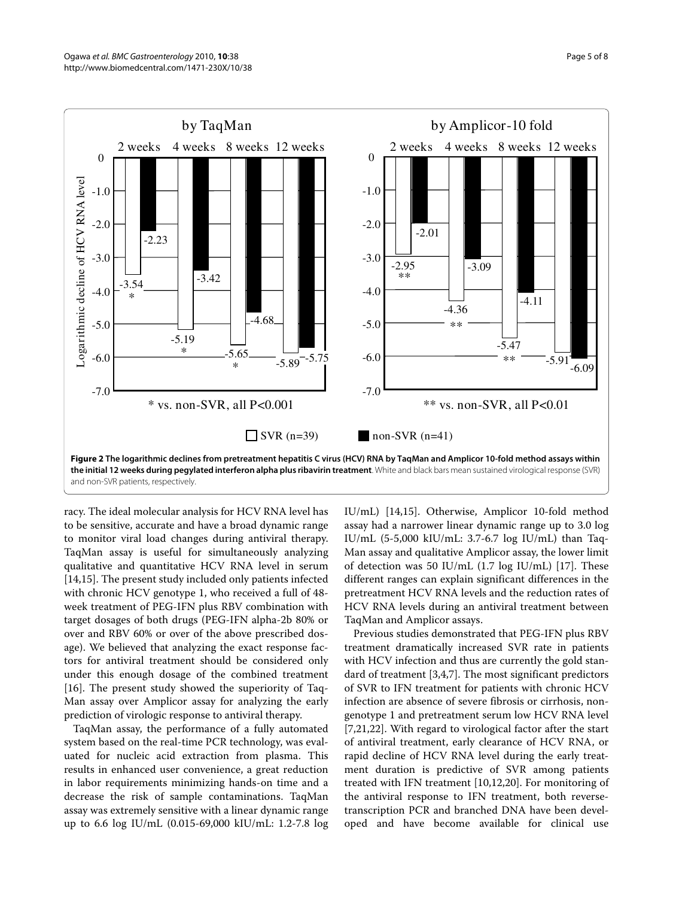<span id="page-4-0"></span>

racy. The ideal molecular analysis for HCV RNA level has to be sensitive, accurate and have a broad dynamic range to monitor viral load changes during antiviral therapy. TaqMan assay is useful for simultaneously analyzing qualitative and quantitative HCV RNA level in serum [[14,](#page-7-7)[15\]](#page-7-8). The present study included only patients infected with chronic HCV genotype 1, who received a full of 48 week treatment of PEG-IFN plus RBV combination with target dosages of both drugs (PEG-IFN alpha-2b 80% or over and RBV 60% or over of the above prescribed dosage). We believed that analyzing the exact response factors for antiviral treatment should be considered only under this enough dosage of the combined treatment [[16\]](#page-7-9). The present study showed the superiority of Taq-Man assay over Amplicor assay for analyzing the early prediction of virologic response to antiviral therapy.

TaqMan assay, the performance of a fully automated system based on the real-time PCR technology, was evaluated for nucleic acid extraction from plasma. This results in enhanced user convenience, a great reduction in labor requirements minimizing hands-on time and a decrease the risk of sample contaminations. TaqMan assay was extremely sensitive with a linear dynamic range up to 6.6 log IU/mL (0.015-69,000 kIU/mL: 1.2-7.8 log IU/mL) [\[14](#page-7-7)[,15](#page-7-8)]. Otherwise, Amplicor 10-fold method assay had a narrower linear dynamic range up to 3.0 log IU/mL (5-5,000 kIU/mL: 3.7-6.7 log IU/mL) than Taq-Man assay and qualitative Amplicor assay, the lower limit of detection was 50 IU/mL (1.7 log IU/mL) [\[17\]](#page-7-10). These different ranges can explain significant differences in the pretreatment HCV RNA levels and the reduction rates of HCV RNA levels during an antiviral treatment between TaqMan and Amplicor assays.

Previous studies demonstrated that PEG-IFN plus RBV treatment dramatically increased SVR rate in patients with HCV infection and thus are currently the gold standard of treatment [[3,](#page-6-2)[4,](#page-6-3)[7\]](#page-7-2). The most significant predictors of SVR to IFN treatment for patients with chronic HCV infection are absence of severe fibrosis or cirrhosis, nongenotype 1 and pretreatment serum low HCV RNA level [[7,](#page-7-2)[21,](#page-7-14)[22\]](#page-7-15). With regard to virological factor after the start of antiviral treatment, early clearance of HCV RNA, or rapid decline of HCV RNA level during the early treatment duration is predictive of SVR among patients treated with IFN treatment [[10](#page-7-4),[12,](#page-7-5)[20\]](#page-7-13). For monitoring of the antiviral response to IFN treatment, both reversetranscription PCR and branched DNA have been developed and have become available for clinical use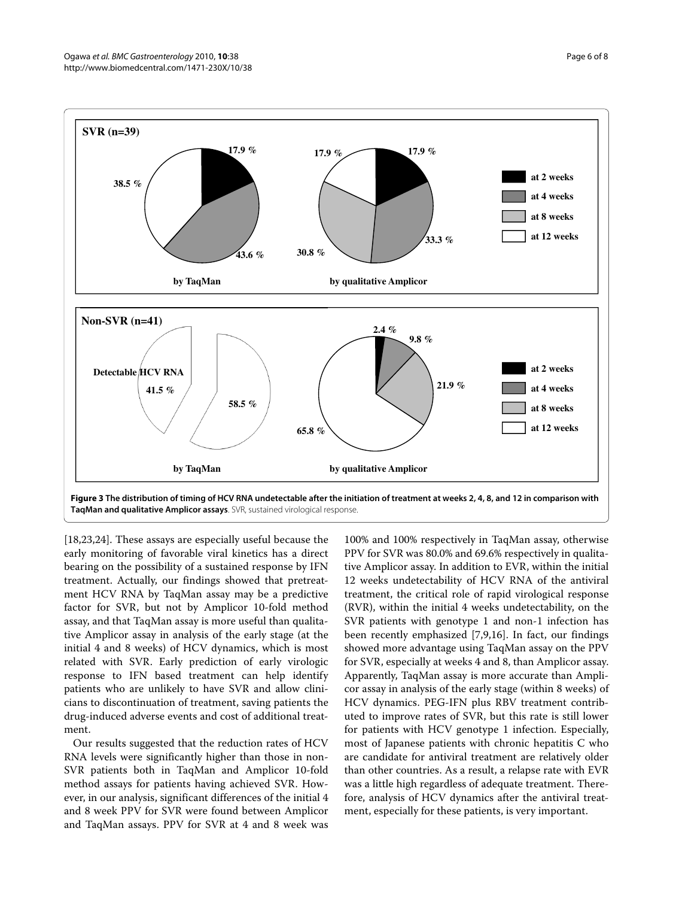<span id="page-5-0"></span>

[[18,](#page-7-11)[23,](#page-7-16)[24\]](#page-7-17). These assays are especially useful because the early monitoring of favorable viral kinetics has a direct bearing on the possibility of a sustained response by IFN treatment. Actually, our findings showed that pretreatment HCV RNA by TaqMan assay may be a predictive factor for SVR, but not by Amplicor 10-fold method assay, and that TaqMan assay is more useful than qualitative Amplicor assay in analysis of the early stage (at the initial 4 and 8 weeks) of HCV dynamics, which is most related with SVR. Early prediction of early virologic response to IFN based treatment can help identify patients who are unlikely to have SVR and allow clinicians to discontinuation of treatment, saving patients the drug-induced adverse events and cost of additional treatment.

Our results suggested that the reduction rates of HCV RNA levels were significantly higher than those in non-SVR patients both in TaqMan and Amplicor 10-fold method assays for patients having achieved SVR. However, in our analysis, significant differences of the initial 4 and 8 week PPV for SVR were found between Amplicor and TaqMan assays. PPV for SVR at 4 and 8 week was

100% and 100% respectively in TaqMan assay, otherwise PPV for SVR was 80.0% and 69.6% respectively in qualitative Amplicor assay. In addition to EVR, within the initial 12 weeks undetectability of HCV RNA of the antiviral treatment, the critical role of rapid virological response (RVR), within the initial 4 weeks undetectability, on the SVR patients with genotype 1 and non-1 infection has been recently emphasized [\[7](#page-7-2)[,9](#page-7-3),[16](#page-7-9)]. In fact, our findings showed more advantage using TaqMan assay on the PPV for SVR, especially at weeks 4 and 8, than Amplicor assay. Apparently, TaqMan assay is more accurate than Amplicor assay in analysis of the early stage (within 8 weeks) of HCV dynamics. PEG-IFN plus RBV treatment contributed to improve rates of SVR, but this rate is still lower for patients with HCV genotype 1 infection. Especially, most of Japanese patients with chronic hepatitis C who are candidate for antiviral treatment are relatively older than other countries. As a result, a relapse rate with EVR was a little high regardless of adequate treatment. Therefore, analysis of HCV dynamics after the antiviral treatment, especially for these patients, is very important.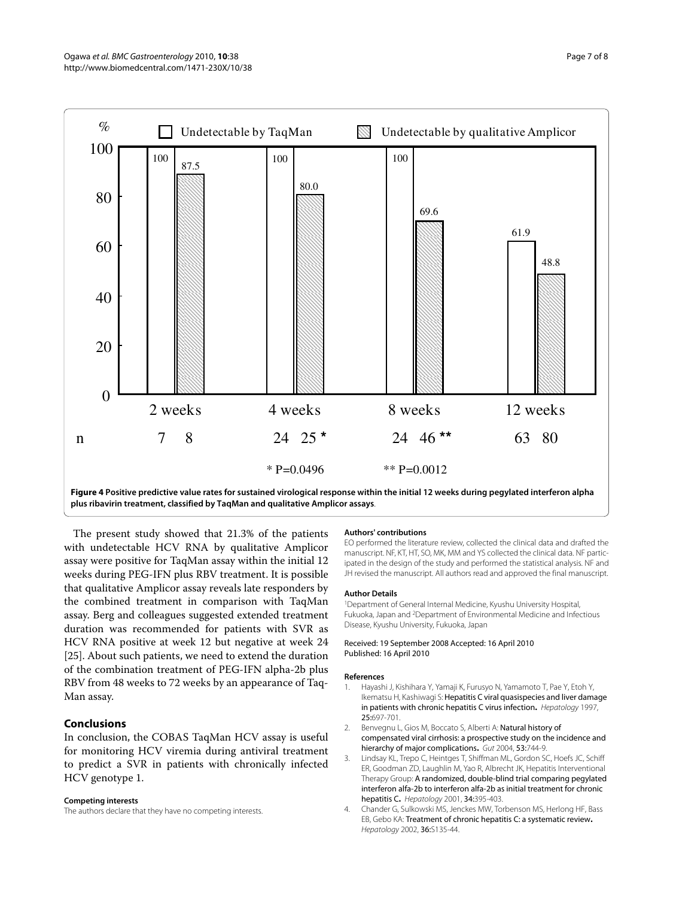<span id="page-6-4"></span>

**plus ribavirin treatment, classified by TaqMan and qualitative Amplicor assays**.

The present study showed that 21.3% of the patients with undetectable HCV RNA by qualitative Amplicor assay were positive for TaqMan assay within the initial 12 weeks during PEG-IFN plus RBV treatment. It is possible that qualitative Amplicor assay reveals late responders by the combined treatment in comparison with TaqMan assay. Berg and colleagues suggested extended treatment duration was recommended for patients with SVR as HCV RNA positive at week 12 but negative at week 24 [[25\]](#page-7-18). About such patients, we need to extend the duration of the combination treatment of PEG-IFN alpha-2b plus RBV from 48 weeks to 72 weeks by an appearance of Taq-Man assay.

## **Conclusions**

In conclusion, the COBAS TaqMan HCV assay is useful for monitoring HCV viremia during antiviral treatment to predict a SVR in patients with chronically infected HCV genotype 1.

#### **Competing interests**

The authors declare that they have no competing interests.

#### **Authors' contributions**

EO performed the literature review, collected the clinical data and drafted the manuscript. NF, KT, HT, SO, MK, MM and YS collected the clinical data. NF participated in the design of the study and performed the statistical analysis. NF and JH revised the manuscript. All authors read and approved the final manuscript.

#### **Author Details**

1Department of General Internal Medicine, Kyushu University Hospital, Fukuoka, Japan and 2Department of Environmental Medicine and Infectious Disease, Kyushu University, Fukuoka, Japan

#### Received: 19 September 2008 Accepted: 16 April 2010 Published: 16 April 2010

#### **References**

- <span id="page-6-0"></span>1. Hayashi J, Kishihara Y, Yamaji K, Furusyo N, Yamamoto T, Pae Y, Etoh Y, Ikematsu H, Kashiwagi S: Hepatitis C viral quasispecies and liver damage in patients with chronic hepatitis C virus infection**[.](http://www.ncbi.nlm.nih.gov/entrez/query.fcgi?cmd=Retrieve&db=PubMed&dopt=Abstract&list_uids=9049221)** Hepatology 1997, 25:697-701.
- <span id="page-6-1"></span>2. Benvegnu L, Gios M, Boccato S, Alberti A: Natural history of compensated viral cirrhosis: a prospective study on the incidence and hierarchy of major complications**.** Gut 2004, 53:744-9.
- <span id="page-6-2"></span>3. Lindsay KL, Trepo C, Heintges T, Shiffman ML, Gordon SC, Hoefs JC, Schiff ER, Goodman ZD, Laughlin M, Yao R, Albrecht JK, Hepatitis Interventional Therapy Group: A randomized, double-blind trial comparing pegylated interferon alfa-2b to interferon alfa-2b as initial treatment for chronic hepatitis C**.** Hepatology 2001, 34:395-403.
- <span id="page-6-3"></span>4. Chander G, Sulkowski MS, Jenckes MW, Torbenson MS, Herlong HF, Bass EB, Gebo KA: Treatment of chronic hepatitis C: a systematic review**.** Hepatology 2002, 36:S135-44.